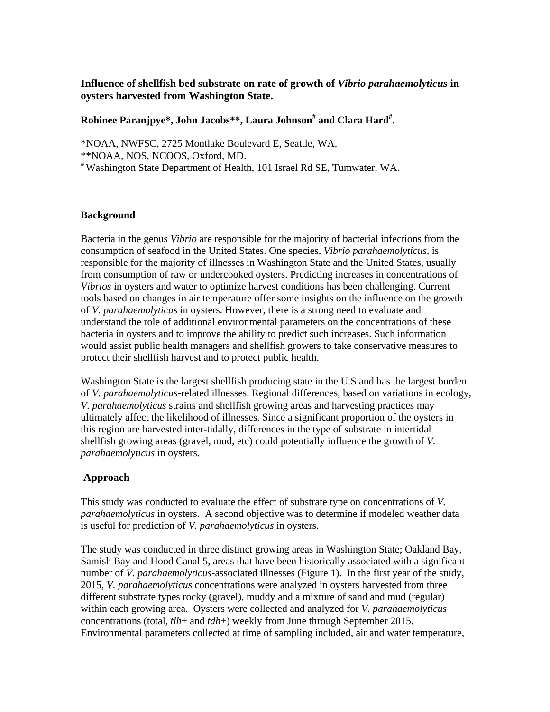# **Influence of shellfish bed substrate on rate of growth of** *Vibrio parahaemolyticus* **in oysters harvested from Washington State.**

## **Rohinee Paranjpye\*, John Jacobs\*\*, Laura Johnson# and Clara Hard# .**

\*NOAA, NWFSC, 2725 Montlake Boulevard E, Seattle, WA. \*\*NOAA, NOS, NCOOS, Oxford, MD. # Washington State Department of Health, 101 Israel Rd SE, Tumwater, WA.

## **Background**

Bacteria in the genus *Vibrio* are responsible for the majority of bacterial infections from the consumption of seafood in the United States. One species, *Vibrio parahaemolyticus,* is responsible for the majority of illnesses in Washington State and the United States, usually from consumption of raw or undercooked oysters. Predicting increases in concentrations of *Vibrios* in oysters and water to optimize harvest conditions has been challenging. Current tools based on changes in air temperature offer some insights on the influence on the growth of *V. parahaemolyticus* in oysters. However, there is a strong need to evaluate and understand the role of additional environmental parameters on the concentrations of these bacteria in oysters and to improve the ability to predict such increases. Such information would assist public health managers and shellfish growers to take conservative measures to protect their shellfish harvest and to protect public health.

Washington State is the largest shellfish producing state in the U.S and has the largest burden of *V. parahaemolyticus*-related illnesses. Regional differences, based on variations in ecology, *V. parahaemolyticus* strains and shellfish growing areas and harvesting practices may ultimately affect the likelihood of illnesses. Since a significant proportion of the oysters in this region are harvested inter-tidally, differences in the type of substrate in intertidal shellfish growing areas (gravel, mud, etc) could potentially influence the growth of *V. parahaemolyticus* in oysters.

# **Approach**

This study was conducted to evaluate the effect of substrate type on concentrations of *V. parahaemolyticus* in oysters. A second objective was to determine if modeled weather data is useful for prediction of *V. parahaemolyticus* in oysters.

The study was conducted in three distinct growing areas in Washington State; Oakland Bay, Samish Bay and Hood Canal 5, areas that have been historically associated with a significant number of *V. parahaemolyticus*-associated illnesses (Figure 1). In the first year of the study, 2015, *V. parahaemolyticus* concentrations were analyzed in oysters harvested from three different substrate types rocky (gravel), muddy and a mixture of sand and mud (regular) within each growing area. Oysters were collected and analyzed for *V. parahaemolyticus* concentrations (total*, tlh*+ and *tdh*+) weekly from June through September 2015. Environmental parameters collected at time of sampling included, air and water temperature,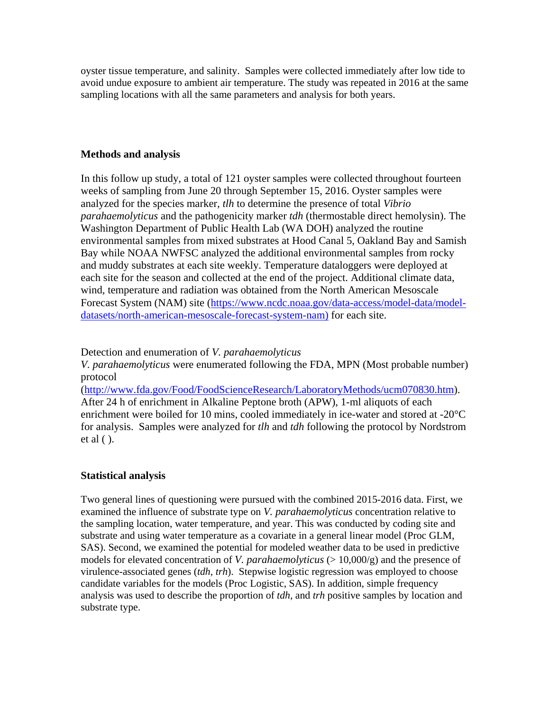oyster tissue temperature, and salinity. Samples were collected immediately after low tide to avoid undue exposure to ambient air temperature. The study was repeated in 2016 at the same sampling locations with all the same parameters and analysis for both years.

### **Methods and analysis**

In this follow up study, a total of 121 oyster samples were collected throughout fourteen weeks of sampling from June 20 through September 15, 2016. Oyster samples were analyzed for the species marker, *tlh* to determine the presence of total *Vibrio parahaemolyticus* and the pathogenicity marker *tdh* (thermostable direct hemolysin). The Washington Department of Public Health Lab (WA DOH) analyzed the routine environmental samples from mixed substrates at Hood Canal 5, Oakland Bay and Samish Bay while NOAA NWFSC analyzed the additional environmental samples from rocky and muddy substrates at each site weekly. Temperature dataloggers were deployed at each site for the season and collected at the end of the project. Additional climate data, wind, temperature and radiation was obtained from the North American Mesoscale Forecast System (NAM) site (https://www.ncdc.noaa.gov/data-access/model-data/modeldatasets/north-american-mesoscale-forecast-system-nam) for each site.

Detection and enumeration of *V. parahaemolyticus*

*V. parahaemolyticus* were enumerated following the FDA, MPN (Most probable number) protocol

(http://www.fda.gov/Food/FoodScienceResearch/LaboratoryMethods/ucm070830.htm). After 24 h of enrichment in Alkaline Peptone broth (APW), 1-ml aliquots of each enrichment were boiled for 10 mins, cooled immediately in ice-water and stored at -20°C for analysis. Samples were analyzed for *tlh* and *tdh* following the protocol by Nordstrom et al ( ).

# **Statistical analysis**

Two general lines of questioning were pursued with the combined 2015-2016 data. First, we examined the influence of substrate type on *V. parahaemolyticus* concentration relative to the sampling location, water temperature, and year. This was conducted by coding site and substrate and using water temperature as a covariate in a general linear model (Proc GLM, SAS). Second, we examined the potential for modeled weather data to be used in predictive models for elevated concentration of *V. parahaemolyticus* ( $> 10,000/g$ ) and the presence of virulence-associated genes (*tdh, trh*). Stepwise logistic regression was employed to choose candidate variables for the models (Proc Logistic, SAS). In addition, simple frequency analysis was used to describe the proportion of *tdh,* and *trh* positive samples by location and substrate type.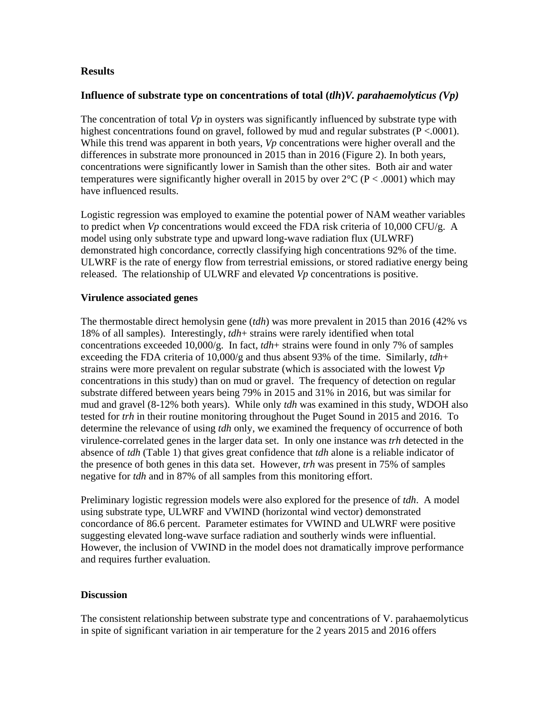#### **Results**

#### **Influence of substrate type on concentrations of total (***tlh***)***V. parahaemolyticus (Vp)*

The concentration of total *Vp* in oysters was significantly influenced by substrate type with highest concentrations found on gravel, followed by mud and regular substrates (P <.0001). While this trend was apparent in both years, *Vp* concentrations were higher overall and the differences in substrate more pronounced in 2015 than in 2016 (Figure 2). In both years, concentrations were significantly lower in Samish than the other sites. Both air and water temperatures were significantly higher overall in 2015 by over  $2^{\circ}C$  (P < .0001) which may have influenced results.

Logistic regression was employed to examine the potential power of NAM weather variables to predict when *Vp* concentrations would exceed the FDA risk criteria of 10,000 CFU/g. A model using only substrate type and upward long-wave radiation flux (ULWRF) demonstrated high concordance, correctly classifying high concentrations 92% of the time. ULWRF is the rate of energy flow from terrestrial emissions, or stored radiative energy being released. The relationship of ULWRF and elevated *Vp* concentrations is positive.

#### **Virulence associated genes**

The thermostable direct hemolysin gene (*tdh*) was more prevalent in 2015 than 2016 (42% vs 18% of all samples). Interestingly, *tdh*+ strains were rarely identified when total concentrations exceeded 10,000/g. In fact,  $tdh$ + strains were found in only 7% of samples exceeding the FDA criteria of 10,000/g and thus absent 93% of the time. Similarly, *tdh*+ strains were more prevalent on regular substrate (which is associated with the lowest *Vp* concentrations in this study) than on mud or gravel. The frequency of detection on regular substrate differed between years being 79% in 2015 and 31% in 2016, but was similar for mud and gravel (8-12% both years). While only *tdh* was examined in this study, WDOH also tested for *trh* in their routine monitoring throughout the Puget Sound in 2015 and 2016. To determine the relevance of using *tdh* only, we examined the frequency of occurrence of both virulence-correlated genes in the larger data set. In only one instance was *trh* detected in the absence of *tdh* (Table 1) that gives great confidence that *tdh* alone is a reliable indicator of the presence of both genes in this data set. However, *trh* was present in 75% of samples negative for *tdh* and in 87% of all samples from this monitoring effort.

Preliminary logistic regression models were also explored for the presence of *tdh*. A model using substrate type, ULWRF and VWIND (horizontal wind vector) demonstrated concordance of 86.6 percent. Parameter estimates for VWIND and ULWRF were positive suggesting elevated long-wave surface radiation and southerly winds were influential. However, the inclusion of VWIND in the model does not dramatically improve performance and requires further evaluation.

### **Discussion**

The consistent relationship between substrate type and concentrations of V. parahaemolyticus in spite of significant variation in air temperature for the 2 years 2015 and 2016 offers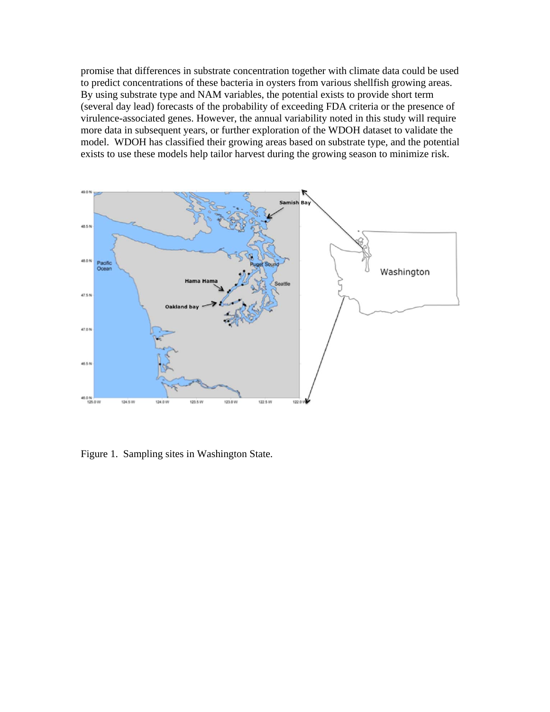promise that differences in substrate concentration together with climate data could be used to predict concentrations of these bacteria in oysters from various shellfish growing areas. By using substrate type and NAM variables, the potential exists to provide short term (several day lead) forecasts of the probability of exceeding FDA criteria or the presence of virulence-associated genes. However, the annual variability noted in this study will require more data in subsequent years, or further exploration of the WDOH dataset to validate the model. WDOH has classified their growing areas based on substrate type, and the potential exists to use these models help tailor harvest during the growing season to minimize risk.



Figure 1. Sampling sites in Washington State.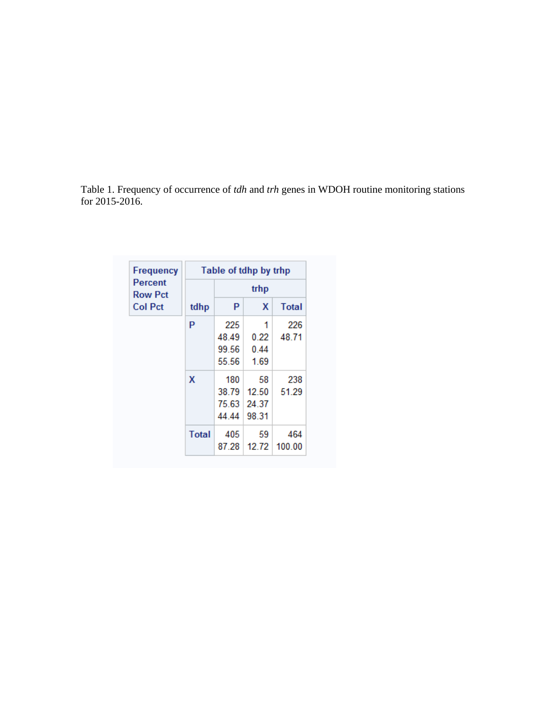Table 1. Frequency of occurrence of *tdh* and *trh* genes in WDOH routine monitoring stations for 2015-2016.

| <b>Frequency</b><br><b>Percent</b><br><b>Row Pct</b><br><b>Col Pct</b> | Table of tdhp by trhp |       |       |              |
|------------------------------------------------------------------------|-----------------------|-------|-------|--------------|
|                                                                        | tdhp                  | trhp  |       |              |
|                                                                        |                       | P     | X     | <b>Total</b> |
|                                                                        | P                     | 225   | 1     | 226          |
|                                                                        |                       | 48.49 | 0.22  | 48.71        |
|                                                                        |                       | 99.56 | 0.44  |              |
|                                                                        |                       | 55.56 | 1.69  |              |
|                                                                        | X                     | 180   | 58    | 238          |
|                                                                        |                       | 38.79 | 12.50 | 51.29        |
|                                                                        |                       | 75.63 | 24.37 |              |
|                                                                        |                       | 44 44 | 98.31 |              |
|                                                                        | <b>Total</b>          | 405   | 59    | 464          |
|                                                                        |                       | 87.28 | 12.72 | 100.00       |